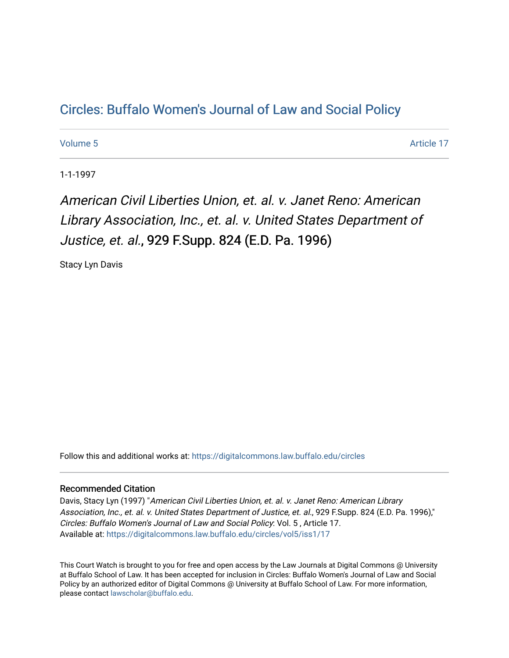## Cir[cles: Buffalo Women's Journal of Law and Social P](https://digitalcommons.law.buffalo.edu/circles)olicy

[Volume 5](https://digitalcommons.law.buffalo.edu/circles/vol5) Article 17

1-1-1997

American Civil Liberties Union, et. al. v. Janet Reno: American Library Association, Inc., et. al. v. United States Department of Justice, et. al., 929 F.Supp. 824 (E.D. Pa. 1996)

Stacy Lyn Davis

Follow this and additional works at: [https://digitalcommons.law.buffalo.edu/circles](https://digitalcommons.law.buffalo.edu/circles?utm_source=digitalcommons.law.buffalo.edu%2Fcircles%2Fvol5%2Fiss1%2F17&utm_medium=PDF&utm_campaign=PDFCoverPages)

## Recommended Citation

Davis, Stacy Lyn (1997) "American Civil Liberties Union, et. al. v. Janet Reno: American Library Association, Inc., et. al. v. United States Department of Justice, et. al., 929 F.Supp. 824 (E.D. Pa. 1996)," Circles: Buffalo Women's Journal of Law and Social Policy: Vol. 5 , Article 17. Available at: [https://digitalcommons.law.buffalo.edu/circles/vol5/iss1/17](https://digitalcommons.law.buffalo.edu/circles/vol5/iss1/17?utm_source=digitalcommons.law.buffalo.edu%2Fcircles%2Fvol5%2Fiss1%2F17&utm_medium=PDF&utm_campaign=PDFCoverPages)

This Court Watch is brought to you for free and open access by the Law Journals at Digital Commons @ University at Buffalo School of Law. It has been accepted for inclusion in Circles: Buffalo Women's Journal of Law and Social Policy by an authorized editor of Digital Commons @ University at Buffalo School of Law. For more information, please contact [lawscholar@buffalo.edu](mailto:lawscholar@buffalo.edu).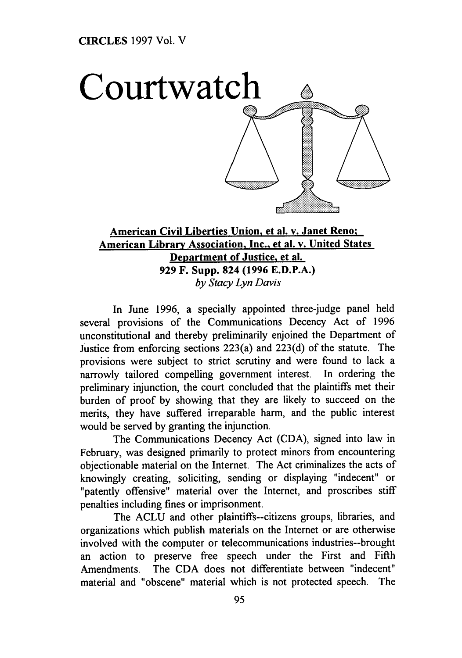

## **American Civil Liberties Union, et al. v. Janet Reno: American Library Association, Inc.. et al. v. United States Department of Justice. et al. 929** F. **Supp. 824 (1996 E.D.P.A.)** *by Stacy Lyn Davis*

In June **1996,** a specially appointed three-judge panel held several provisions of the Communications Decency Act of **1996** unconstitutional and thereby preliminarily enjoined the Department of Justice from enforcing sections 223(a) and **223(d)** of the statute. The provisions were subject to strict scrutiny and were found to lack a narrowly tailored compelling government interest. In ordering the preliminary injunction, the court concluded that the plaintiffs met their burden of proof **by** showing that they are likely to succeed on the merits, they have suffered irreparable harm, and the public interest would be served **by** granting the injunction.

The Communications Decency Act **(CDA),** signed into law in February, was designed primarily to protect minors from encountering objectionable material on the Internet. The Act criminalizes the acts of knowingly creating, soliciting, sending or displaying "indecent" or "patently offensive" material over the Internet, and proscribes stiff penalties including fines or imprisonment.

The **ACLU** and other plaintiffs--citizens groups, libraries, and organizations which publish materials on the Internet or are otherwise involved with the computer or telecommunications industries--brought an action to preserve free speech under the First and Fifth Amendments. The **CDA** does not differentiate between "indecent" material and "obscene" material which is not protected speech. The